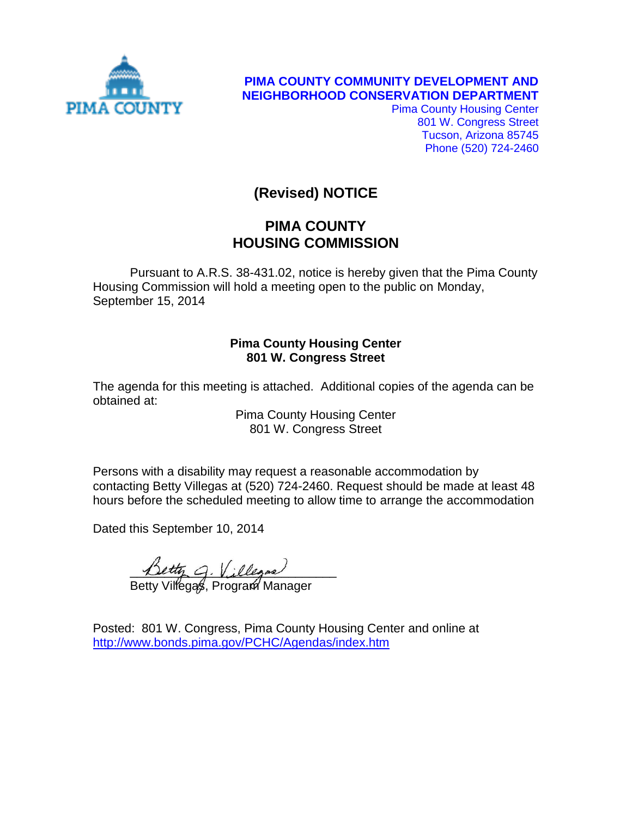

**PIMA COUNTY COMMUNITY DEVELOPMENT AND NEIGHBORHOOD CONSERVATION DEPARTMENT**

> Pima County Housing Center 801 W. Congress Street Tucson, Arizona 85745 Phone (520) 724-2460

# **(Revised) NOTICE**

# **PIMA COUNTY HOUSING COMMISSION**

Pursuant to A.R.S. 38-431.02, notice is hereby given that the Pima County Housing Commission will hold a meeting open to the public on Monday, September 15, 2014

## **Pima County Housing Center 801 W. Congress Street**

The agenda for this meeting is attached. Additional copies of the agenda can be obtained at:

> Pima County Housing Center 801 W. Congress Street

Persons with a disability may request a reasonable accommodation by contacting Betty Villegas at (520) 724-2460. Request should be made at least 48 hours before the scheduled meeting to allow time to arrange the accommodation

Dated this September 10, 2014

Detty G. Villegas

Betty Villegas, Program Manager

Posted: 801 W. Congress, Pima County Housing Center and online at <http://www.bonds.pima.gov/PCHC/Agendas/index.htm>